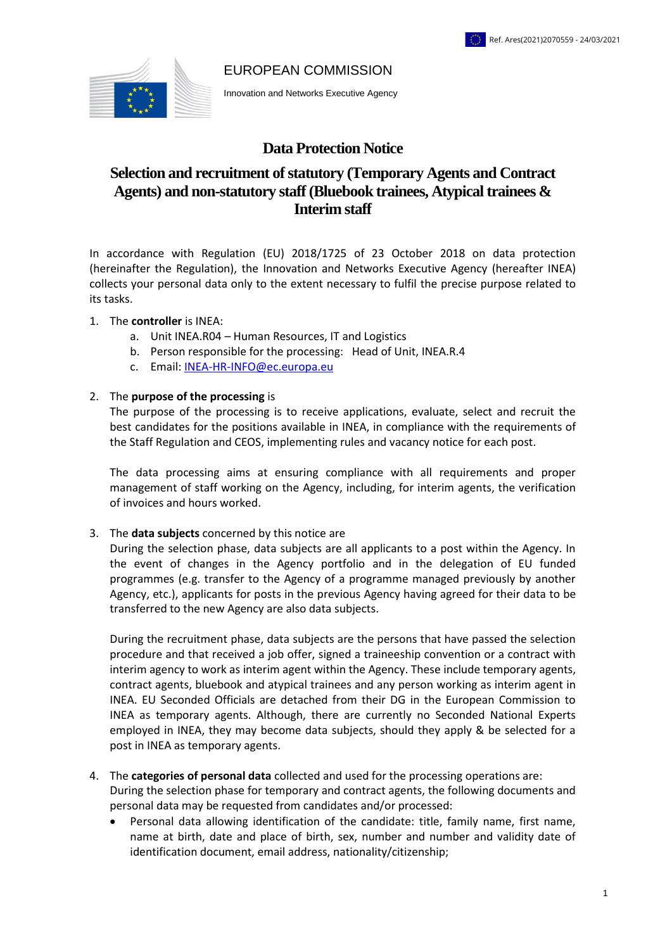#### EUROPEAN COMMISSION



Innovation and Networks Executive Agency

# **Data Protection Notice**

# **Selection and recruitment of statutory (Temporary Agents and Contract Agents) and non-statutory staff (Bluebook trainees, Atypical trainees & Interim staff**

In accordance with Regulation (EU) 2018/1725 of 23 October 2018 on data protection (hereinafter the Regulation), the Innovation and Networks Executive Agency (hereafter INEA) collects your personal data only to the extent necessary to fulfil the precise purpose related to its tasks.

#### 1. The **controller** is INEA:

- a. Unit INEA.R04 Human Resources, IT and Logistics
- b. Person responsible for the processing: Head of Unit, INEA.R.4
- c. Email: [INEA-HR-INFO@ec.europa.eu](mailto:INEA-HR-INFO@ec.europa.eu)

#### 2. The **purpose of the processing** is

The purpose of the processing is to receive applications, evaluate, select and recruit the best candidates for the positions available in INEA, in compliance with the requirements of the Staff Regulation and CEOS, implementing rules and vacancy notice for each post.

The data processing aims at ensuring compliance with all requirements and proper management of staff working on the Agency, including, for interim agents, the verification of invoices and hours worked.

3. The **data subjects** concerned by this notice are

During the selection phase, data subjects are all applicants to a post within the Agency. In the event of changes in the Agency portfolio and in the delegation of EU funded programmes (e.g. transfer to the Agency of a programme managed previously by another Agency, etc.), applicants for posts in the previous Agency having agreed for their data to be transferred to the new Agency are also data subjects.

During the recruitment phase, data subjects are the persons that have passed the selection procedure and that received a job offer, signed a traineeship convention or a contract with interim agency to work as interim agent within the Agency. These include temporary agents, contract agents, bluebook and atypical trainees and any person working as interim agent in INEA. EU Seconded Officials are detached from their DG in the European Commission to INEA as temporary agents. Although, there are currently no Seconded National Experts employed in INEA, they may become data subjects, should they apply & be selected for a post in INEA as temporary agents.

# 4. The **categories of personal data** collected and used for the processing operations are:

During the selection phase for temporary and contract agents, the following documents and personal data may be requested from candidates and/or processed:

 Personal data allowing identification of the candidate: title, family name, first name, name at birth, date and place of birth, sex, number and number and validity date of identification document, email address, nationality/citizenship;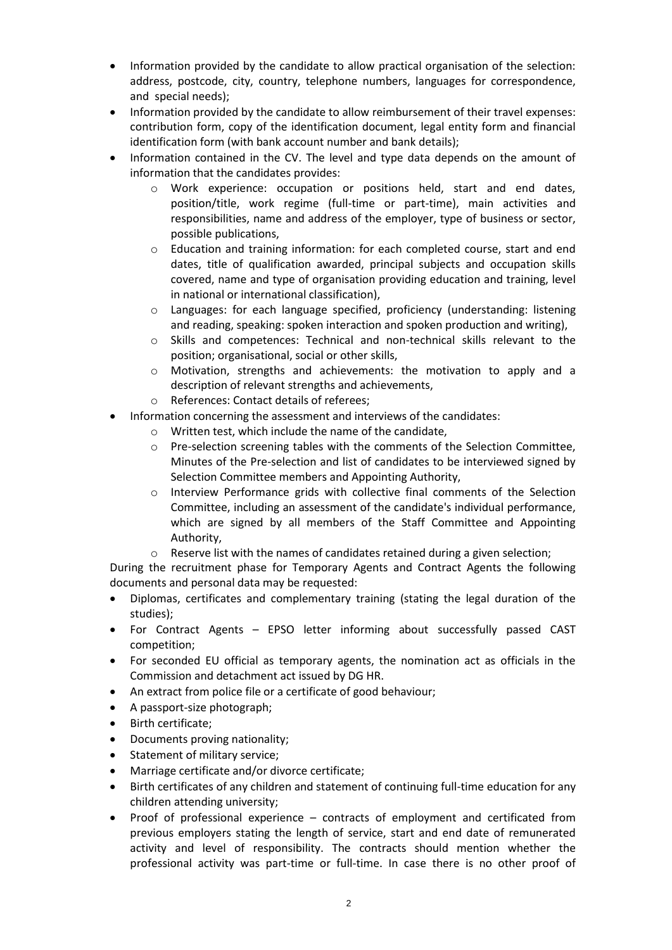- Information provided by the candidate to allow practical organisation of the selection: address, postcode, city, country, telephone numbers, languages for correspondence, and special needs);
- Information provided by the candidate to allow reimbursement of their travel expenses: contribution form, copy of the identification document, legal entity form and financial identification form (with bank account number and bank details);
- Information contained in the CV. The level and type data depends on the amount of information that the candidates provides:
	- o Work experience: occupation or positions held, start and end dates, position/title, work regime (full-time or part-time), main activities and responsibilities, name and address of the employer, type of business or sector, possible publications,
	- o Education and training information: for each completed course, start and end dates, title of qualification awarded, principal subjects and occupation skills covered, name and type of organisation providing education and training, level in national or international classification),
	- o Languages: for each language specified, proficiency (understanding: listening and reading, speaking: spoken interaction and spoken production and writing),
	- o Skills and competences: Technical and non-technical skills relevant to the position; organisational, social or other skills,
	- o Motivation, strengths and achievements: the motivation to apply and a description of relevant strengths and achievements,
	- o References: Contact details of referees;
- Information concerning the assessment and interviews of the candidates:
	- o Written test, which include the name of the candidate,
	- o Pre-selection screening tables with the comments of the Selection Committee, Minutes of the Pre-selection and list of candidates to be interviewed signed by Selection Committee members and Appointing Authority,
	- o Interview Performance grids with collective final comments of the Selection Committee, including an assessment of the candidate's individual performance, which are signed by all members of the Staff Committee and Appointing Authority,
	- o Reserve list with the names of candidates retained during a given selection;

During the recruitment phase for Temporary Agents and Contract Agents the following documents and personal data may be requested:

- Diplomas, certificates and complementary training (stating the legal duration of the studies);
- For Contract Agents EPSO letter informing about successfully passed CAST competition;
- For seconded EU official as temporary agents, the nomination act as officials in the Commission and detachment act issued by DG HR.
- An extract from police file or a certificate of good behaviour;
- A passport-size photograph;
- Birth certificate;
- Documents proving nationality;
- Statement of military service;
- Marriage certificate and/or divorce certificate;
- Birth certificates of any children and statement of continuing full-time education for any children attending university;
- Proof of professional experience contracts of employment and certificated from previous employers stating the length of service, start and end date of remunerated activity and level of responsibility. The contracts should mention whether the professional activity was part-time or full-time. In case there is no other proof of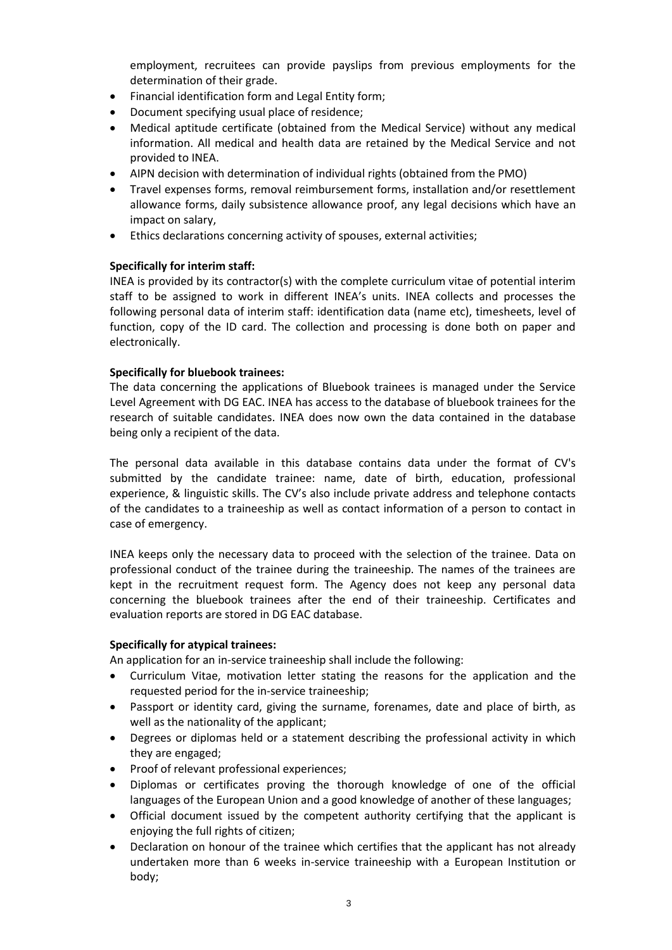employment, recruitees can provide payslips from previous employments for the determination of their grade.

- Financial identification form and Legal Entity form;
- Document specifying usual place of residence;
- Medical aptitude certificate (obtained from the Medical Service) without any medical information. All medical and health data are retained by the Medical Service and not provided to INEA.
- AIPN decision with determination of individual rights (obtained from the PMO)
- Travel expenses forms, removal reimbursement forms, installation and/or resettlement allowance forms, daily subsistence allowance proof, any legal decisions which have an impact on salary,
- Ethics declarations concerning activity of spouses, external activities;

## **Specifically for interim staff:**

INEA is provided by its contractor(s) with the complete curriculum vitae of potential interim staff to be assigned to work in different INEA's units. INEA collects and processes the following personal data of interim staff: identification data (name etc), timesheets, level of function, copy of the ID card. The collection and processing is done both on paper and electronically.

## **Specifically for bluebook trainees:**

The data concerning the applications of Bluebook trainees is managed under the Service Level Agreement with DG EAC. INEA has access to the database of bluebook trainees for the research of suitable candidates. INEA does now own the data contained in the database being only a recipient of the data.

The personal data available in this database contains data under the format of CV's submitted by the candidate trainee: name, date of birth, education, professional experience, & linguistic skills. The CV's also include private address and telephone contacts of the candidates to a traineeship as well as contact information of a person to contact in case of emergency.

INEA keeps only the necessary data to proceed with the selection of the trainee. Data on professional conduct of the trainee during the traineeship. The names of the trainees are kept in the recruitment request form. The Agency does not keep any personal data concerning the bluebook trainees after the end of their traineeship. Certificates and evaluation reports are stored in DG EAC database.

### **Specifically for atypical trainees:**

An application for an in-service traineeship shall include the following:

- Curriculum Vitae, motivation letter stating the reasons for the application and the requested period for the in-service traineeship;
- Passport or identity card, giving the surname, forenames, date and place of birth, as well as the nationality of the applicant;
- Degrees or diplomas held or a statement describing the professional activity in which they are engaged;
- Proof of relevant professional experiences;
- Diplomas or certificates proving the thorough knowledge of one of the official languages of the European Union and a good knowledge of another of these languages;
- Official document issued by the competent authority certifying that the applicant is enjoying the full rights of citizen;
- Declaration on honour of the trainee which certifies that the applicant has not already undertaken more than 6 weeks in-service traineeship with a European Institution or body;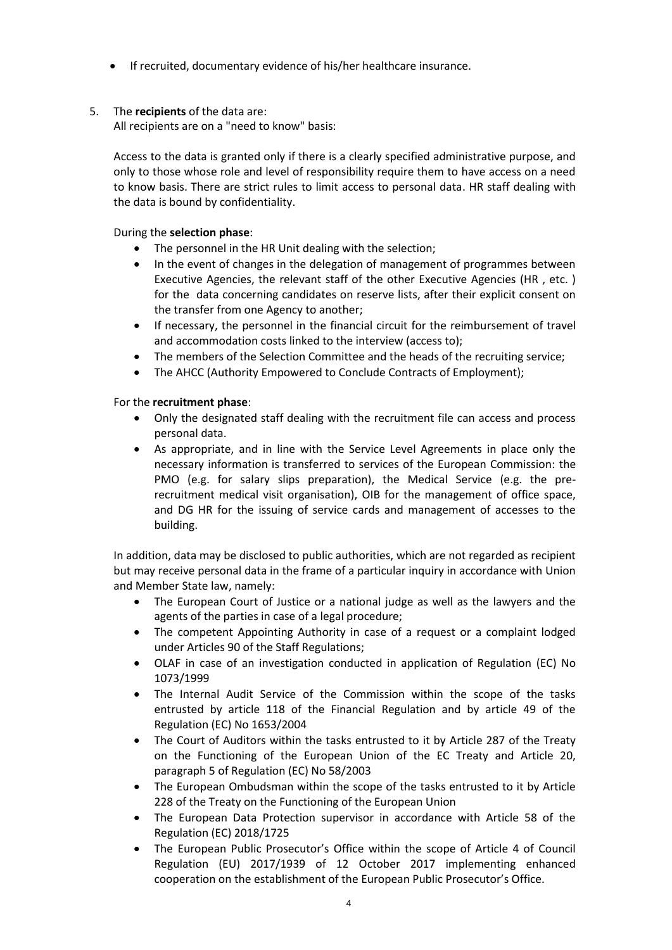If recruited, documentary evidence of his/her healthcare insurance.

# 5. The **recipients** of the data are:

All recipients are on a "need to know" basis:

Access to the data is granted only if there is a clearly specified administrative purpose, and only to those whose role and level of responsibility require them to have access on a need to know basis. There are strict rules to limit access to personal data. HR staff dealing with the data is bound by confidentiality.

During the **selection phase**:

- The personnel in the HR Unit dealing with the selection;
- In the event of changes in the delegation of management of programmes between Executive Agencies, the relevant staff of the other Executive Agencies (HR , etc. ) for the data concerning candidates on reserve lists, after their explicit consent on the transfer from one Agency to another;
- If necessary, the personnel in the financial circuit for the reimbursement of travel and accommodation costs linked to the interview (access to);
- The members of the Selection Committee and the heads of the recruiting service;
- The AHCC (Authority Empowered to Conclude Contracts of Employment);

## For the **recruitment phase**:

- Only the designated staff dealing with the recruitment file can access and process personal data.
- As appropriate, and in line with the Service Level Agreements in place only the necessary information is transferred to services of the European Commission: the PMO (e.g. for salary slips preparation), the Medical Service (e.g. the prerecruitment medical visit organisation), OIB for the management of office space, and DG HR for the issuing of service cards and management of accesses to the building.

In addition, data may be disclosed to public authorities, which are not regarded as recipient but may receive personal data in the frame of a particular inquiry in accordance with Union and Member State law, namely:

- The European Court of Justice or a national judge as well as the lawyers and the agents of the parties in case of a legal procedure;
- The competent Appointing Authority in case of a request or a complaint lodged under Articles 90 of the Staff Regulations;
- OLAF in case of an investigation conducted in application of Regulation (EC) No 1073/1999
- The Internal Audit Service of the Commission within the scope of the tasks entrusted by article 118 of the Financial Regulation and by article 49 of the Regulation (EC) No 1653/2004
- The Court of Auditors within the tasks entrusted to it by Article 287 of the Treaty on the Functioning of the European Union of the EC Treaty and Article 20, paragraph 5 of Regulation (EC) No 58/2003
- The European Ombudsman within the scope of the tasks entrusted to it by Article 228 of the Treaty on the Functioning of the European Union
- The European Data Protection supervisor in accordance with Article 58 of the Regulation (EC) 2018/1725
- The European Public Prosecutor's Office within the scope of Article 4 of Council Regulation (EU) 2017/1939 of 12 October 2017 implementing enhanced cooperation on the establishment of the European Public Prosecutor's Office.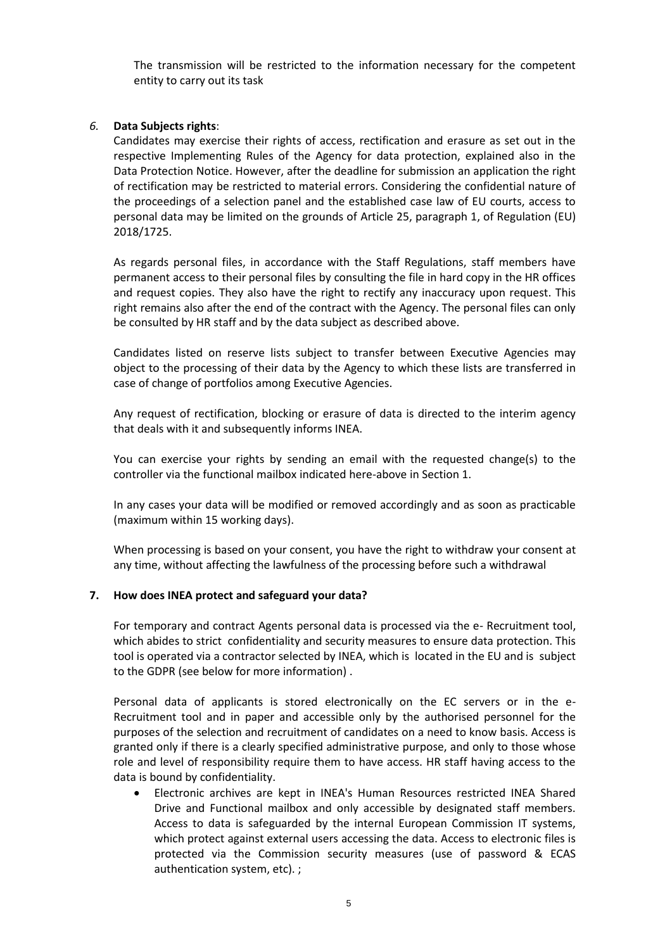The transmission will be restricted to the information necessary for the competent entity to carry out its task

### *6.* **Data Subjects rights**:

Candidates may exercise their rights of access, rectification and erasure as set out in the respective Implementing Rules of the Agency for data protection, explained also in the Data Protection Notice. However, after the deadline for submission an application the right of rectification may be restricted to material errors. Considering the confidential nature of the proceedings of a selection panel and the established case law of EU courts, access to personal data may be limited on the grounds of Article 25, paragraph 1, of Regulation (EU) 2018/1725.

As regards personal files, in accordance with the Staff Regulations, staff members have permanent access to their personal files by consulting the file in hard copy in the HR offices and request copies. They also have the right to rectify any inaccuracy upon request. This right remains also after the end of the contract with the Agency. The personal files can only be consulted by HR staff and by the data subject as described above.

Candidates listed on reserve lists subject to transfer between Executive Agencies may object to the processing of their data by the Agency to which these lists are transferred in case of change of portfolios among Executive Agencies.

Any request of rectification, blocking or erasure of data is directed to the interim agency that deals with it and subsequently informs INEA.

You can exercise your rights by sending an email with the requested change(s) to the controller via the functional mailbox indicated here-above in Section 1.

In any cases your data will be modified or removed accordingly and as soon as practicable (maximum within 15 working days).

When processing is based on your consent, you have the right to withdraw your consent at any time, without affecting the lawfulness of the processing before such a withdrawal

### **7. How does INEA protect and safeguard your data?**

For temporary and contract Agents personal data is processed via the e- Recruitment tool, which abides to strict confidentiality and security measures to ensure data protection. This tool is operated via a contractor selected by INEA, which is located in the EU and is subject to the GDPR (see below for more information) .

Personal data of applicants is stored electronically on the EC servers or in the e-Recruitment tool and in paper and accessible only by the authorised personnel for the purposes of the selection and recruitment of candidates on a need to know basis. Access is granted only if there is a clearly specified administrative purpose, and only to those whose role and level of responsibility require them to have access. HR staff having access to the data is bound by confidentiality.

 Electronic archives are kept in INEA's Human Resources restricted INEA Shared Drive and Functional mailbox and only accessible by designated staff members. Access to data is safeguarded by the internal European Commission IT systems, which protect against external users accessing the data. Access to electronic files is protected via the Commission security measures (use of password & ECAS authentication system, etc). ;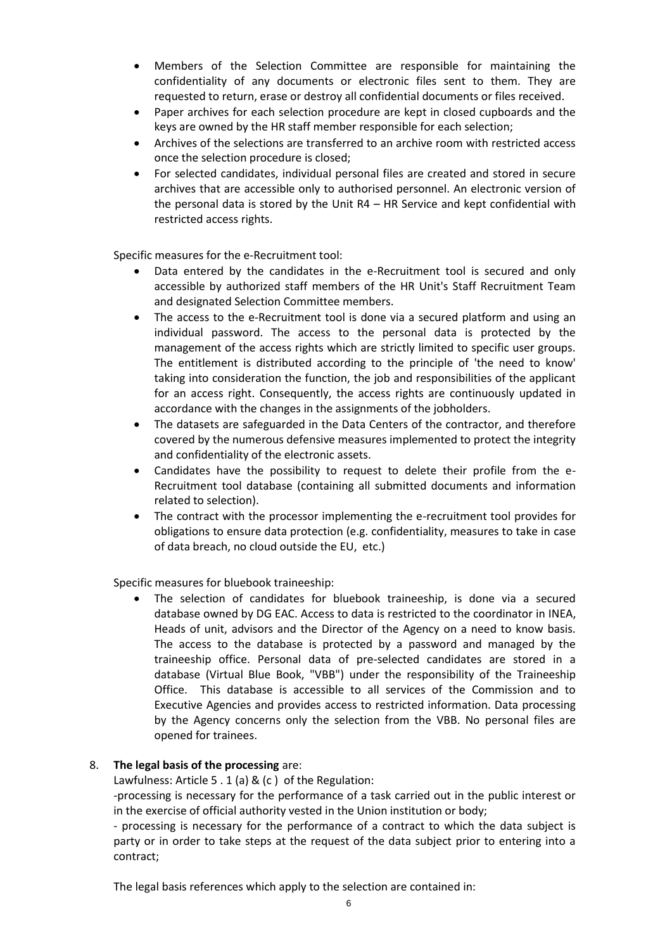- Members of the Selection Committee are responsible for maintaining the confidentiality of any documents or electronic files sent to them. They are requested to return, erase or destroy all confidential documents or files received.
- Paper archives for each selection procedure are kept in closed cupboards and the keys are owned by the HR staff member responsible for each selection;
- Archives of the selections are transferred to an archive room with restricted access once the selection procedure is closed;
- For selected candidates, individual personal files are created and stored in secure archives that are accessible only to authorised personnel. An electronic version of the personal data is stored by the Unit R4 – HR Service and kept confidential with restricted access rights.

Specific measures for the e-Recruitment tool:

- Data entered by the candidates in the e-Recruitment tool is secured and only accessible by authorized staff members of the HR Unit's Staff Recruitment Team and designated Selection Committee members.
- The access to the e-Recruitment tool is done via a secured platform and using an individual password. The access to the personal data is protected by the management of the access rights which are strictly limited to specific user groups. The entitlement is distributed according to the principle of 'the need to know' taking into consideration the function, the job and responsibilities of the applicant for an access right. Consequently, the access rights are continuously updated in accordance with the changes in the assignments of the jobholders.
- The datasets are safeguarded in the Data Centers of the contractor, and therefore covered by the numerous defensive measures implemented to protect the integrity and confidentiality of the electronic assets.
- Candidates have the possibility to request to delete their profile from the e-Recruitment tool database (containing all submitted documents and information related to selection).
- The contract with the processor implementing the e-recruitment tool provides for obligations to ensure data protection (e.g. confidentiality, measures to take in case of data breach, no cloud outside the EU, etc.)

Specific measures for bluebook traineeship:

 The selection of candidates for bluebook traineeship, is done via a secured database owned by DG EAC. Access to data is restricted to the coordinator in INEA, Heads of unit, advisors and the Director of the Agency on a need to know basis. The access to the database is protected by a password and managed by the traineeship office. Personal data of pre-selected candidates are stored in a database (Virtual Blue Book, "VBB") under the responsibility of the Traineeship Office. This database is accessible to all services of the Commission and to Executive Agencies and provides access to restricted information. Data processing by the Agency concerns only the selection from the VBB. No personal files are opened for trainees.

### 8. **The legal basis of the processing** are:

Lawfulness: Article 5 . 1 (a) & (c ) of the Regulation:

-processing is necessary for the performance of a task carried out in the public interest or in the exercise of official authority vested in the Union institution or body;

- processing is necessary for the performance of a contract to which the data subject is party or in order to take steps at the request of the data subject prior to entering into a contract;

The legal basis references which apply to the selection are contained in: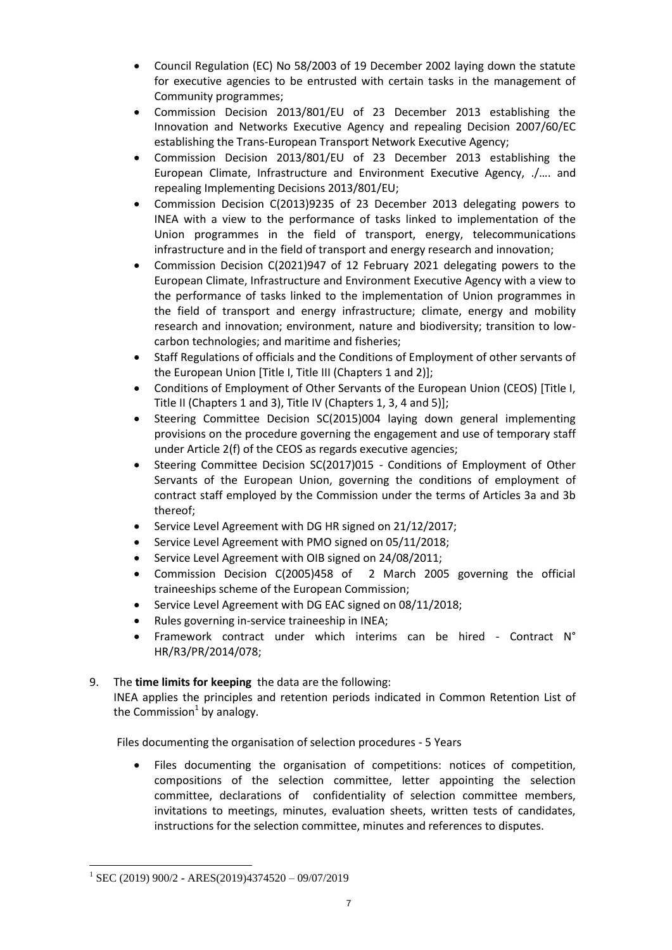- Council Regulation (EC) No 58/2003 of 19 December 2002 laying down the statute for executive agencies to be entrusted with certain tasks in the management of Community programmes;
- Commission Decision 2013/801/EU of 23 December 2013 establishing the Innovation and Networks Executive Agency and repealing Decision 2007/60/EC establishing the Trans-European Transport Network Executive Agency;
- Commission Decision 2013/801/EU of 23 December 2013 establishing the European Climate, Infrastructure and Environment Executive Agency, ./…. and repealing Implementing Decisions 2013/801/EU;
- Commission Decision C(2013)9235 of 23 December 2013 delegating powers to INEA with a view to the performance of tasks linked to implementation of the Union programmes in the field of transport, energy, telecommunications infrastructure and in the field of transport and energy research and innovation;
- Commission Decision C(2021)947 of 12 February 2021 delegating powers to the European Climate, Infrastructure and Environment Executive Agency with a view to the performance of tasks linked to the implementation of Union programmes in the field of transport and energy infrastructure; climate, energy and mobility research and innovation; environment, nature and biodiversity; transition to lowcarbon technologies; and maritime and fisheries;
- Staff Regulations of officials and the Conditions of Employment of other servants of the European Union [Title I, Title III (Chapters 1 and 2)];
- Conditions of Employment of Other Servants of the European Union (CEOS) [Title I, Title II (Chapters 1 and 3), Title IV (Chapters 1, 3, 4 and 5)];
- Steering Committee Decision SC(2015)004 laying down general implementing provisions on the procedure governing the engagement and use of temporary staff under Article 2(f) of the CEOS as regards executive agencies;
- Steering Committee Decision SC(2017)015 Conditions of Employment of Other Servants of the European Union, governing the conditions of employment of contract staff employed by the Commission under the terms of Articles 3a and 3b thereof;
- Service Level Agreement with DG HR signed on 21/12/2017;
- Service Level Agreement with PMO signed on 05/11/2018;
- Service Level Agreement with OIB signed on 24/08/2011;
- Commission Decision C(2005)458 of 2 March 2005 governing the official traineeships scheme of the European Commission;
- Service Level Agreement with DG EAC signed on 08/11/2018;
- Rules governing in-service traineeship in INEA;
- Framework contract under which interims can be hired Contract N° HR/R3/PR/2014/078;
- 9. The **time limits for keeping** the data are the following: INEA applies the principles and retention periods indicated in Common Retention List of the Commission<sup>1</sup> by analogy.

Files documenting the organisation of selection procedures - 5 Years

 Files documenting the organisation of competitions: notices of competition, compositions of the selection committee, letter appointing the selection committee, declarations of confidentiality of selection committee members, invitations to meetings, minutes, evaluation sheets, written tests of candidates, instructions for the selection committee, minutes and references to disputes.

 $\overline{a}$ 

<sup>1</sup> SEC (2019) 900/2 - ARES(2019)4374520 – 09/07/2019